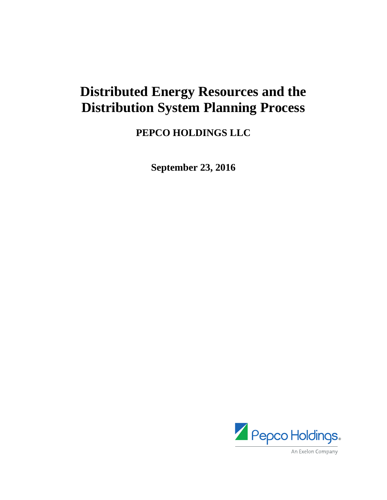## **Distributed Energy Resources and the Distribution System Planning Process**

**PEPCO HOLDINGS LLC** 

**September 23, 2016** 

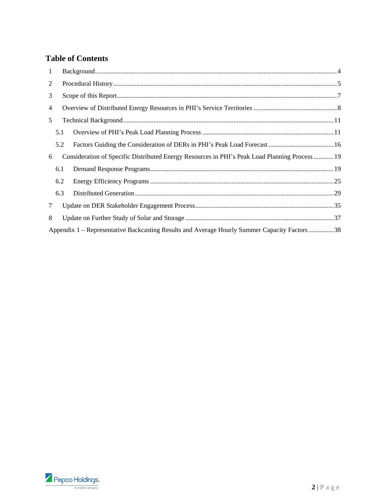### **Table of Contents**

| 1 |     |                                                                                                |  |  |  |  |  |  |  |
|---|-----|------------------------------------------------------------------------------------------------|--|--|--|--|--|--|--|
| 2 |     |                                                                                                |  |  |  |  |  |  |  |
| 3 |     |                                                                                                |  |  |  |  |  |  |  |
| 4 |     |                                                                                                |  |  |  |  |  |  |  |
| 5 |     |                                                                                                |  |  |  |  |  |  |  |
|   | 5.1 |                                                                                                |  |  |  |  |  |  |  |
|   | 5.2 |                                                                                                |  |  |  |  |  |  |  |
| 6 |     | Consideration of Specific Distributed Energy Resources in PHI's Peak Load Planning Process  19 |  |  |  |  |  |  |  |
|   | 6.1 |                                                                                                |  |  |  |  |  |  |  |
|   | 6.2 |                                                                                                |  |  |  |  |  |  |  |
|   | 6.3 |                                                                                                |  |  |  |  |  |  |  |
| 7 |     |                                                                                                |  |  |  |  |  |  |  |
| 8 |     |                                                                                                |  |  |  |  |  |  |  |
|   |     | Appendix 1 – Representative Backcasting Results and Average Hourly Summer Capacity Factors 38  |  |  |  |  |  |  |  |

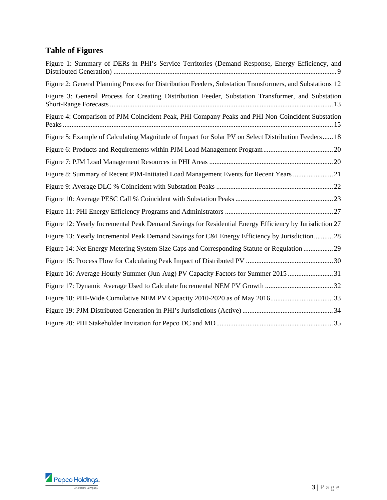## **Table of Figures**

| Figure 1: Summary of DERs in PHI's Service Territories (Demand Response, Energy Efficiency, and          |
|----------------------------------------------------------------------------------------------------------|
| Figure 2: General Planning Process for Distribution Feeders, Substation Transformers, and Substations 12 |
| Figure 3: General Process for Creating Distribution Feeder, Substation Transformer, and Substation       |
| Figure 4: Comparison of PJM Coincident Peak, PHI Company Peaks and PHI Non-Coincident Substation         |
| Figure 5: Example of Calculating Magnitude of Impact for Solar PV on Select Distribution Feeders 18      |
|                                                                                                          |
|                                                                                                          |
| Figure 8: Summary of Recent PJM-Initiated Load Management Events for Recent Years  21                    |
|                                                                                                          |
|                                                                                                          |
|                                                                                                          |
| Figure 12: Yearly Incremental Peak Demand Savings for Residential Energy Efficiency by Jurisdiction 27   |
| Figure 13: Yearly Incremental Peak Demand Savings for C&I Energy Efficiency by Jurisdiction 28           |
| Figure 14: Net Energy Metering System Size Caps and Corresponding Statute or Regulation  29              |
|                                                                                                          |
| Figure 16: Average Hourly Summer (Jun-Aug) PV Capacity Factors for Summer 2015 31                        |
|                                                                                                          |
|                                                                                                          |
|                                                                                                          |
|                                                                                                          |

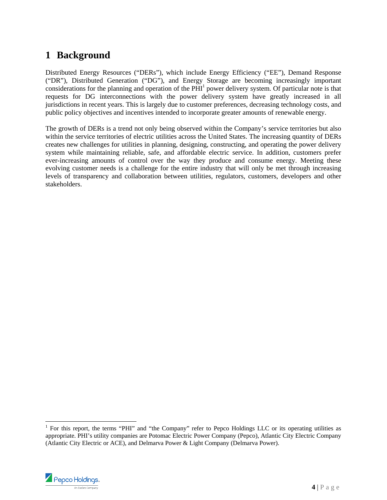## **1 Background**

Distributed Energy Resources ("DERs"), which include Energy Efficiency ("EE"), Demand Response ("DR"), Distributed Generation ("DG"), and Energy Storage are becoming increasingly important considerations for the planning and operation of the  $PHI<sup>1</sup>$  power delivery system. Of particular note is that requests for DG interconnections with the power delivery system have greatly increased in all jurisdictions in recent years. This is largely due to customer preferences, decreasing technology costs, and public policy objectives and incentives intended to incorporate greater amounts of renewable energy.

The growth of DERs is a trend not only being observed within the Company's service territories but also within the service territories of electric utilities across the United States. The increasing quantity of DERs creates new challenges for utilities in planning, designing, constructing, and operating the power delivery system while maintaining reliable, safe, and affordable electric service. In addition, customers prefer ever-increasing amounts of control over the way they produce and consume energy. Meeting these evolving customer needs is a challenge for the entire industry that will only be met through increasing levels of transparency and collaboration between utilities, regulators, customers, developers and other stakeholders.

<sup>&</sup>lt;sup>1</sup> For this report, the terms "PHI" and "the Company" refer to Pepco Holdings LLC or its operating utilities as appropriate. PHI's utility companies are Potomac Electric Power Company (Pepco), Atlantic City Electric Company (Atlantic City Electric or ACE), and Delmarva Power & Light Company (Delmarva Power).

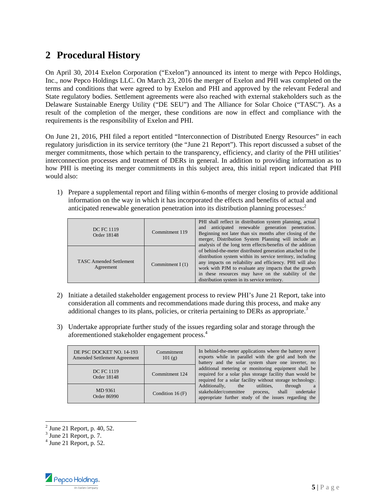## **2 Procedural History**

On April 30, 2014 Exelon Corporation ("Exelon") announced its intent to merge with Pepco Holdings, Inc., now Pepco Holdings LLC. On March 23, 2016 the merger of Exelon and PHI was completed on the terms and conditions that were agreed to by Exelon and PHI and approved by the relevant Federal and State regulatory bodies. Settlement agreements were also reached with external stakeholders such as the Delaware Sustainable Energy Utility ("DE SEU") and The Alliance for Solar Choice ("TASC"). As a result of the completion of the merger, these conditions are now in effect and compliance with the requirements is the responsibility of Exelon and PHI.

On June 21, 2016, PHI filed a report entitled "Interconnection of Distributed Energy Resources" in each regulatory jurisdiction in its service territory (the "June 21 Report"). This report discussed a subset of the merger commitments, those which pertain to the transparency, efficiency, and clarity of the PHI utilities' interconnection processes and treatment of DERs in general. In addition to providing information as to how PHI is meeting its merger commitments in this subject area, this initial report indicated that PHI would also:

1) Prepare a supplemental report and filing within 6-months of merger closing to provide additional information on the way in which it has incorporated the effects and benefits of actual and anticipated renewable generation penetration into its distribution planning processes:<sup>2</sup>

| <b>DC FC 1119</b><br>Order 18148            | Commitment 119     | PHI shall reflect in distribution system planning, actual<br>anticipated renewable generation penetration.<br>and<br>Beginning not later than six months after closing of the<br>merger, Distribution System Planning will include an<br>analysis of the long term effects/benefits of the addition                                                    |  |
|---------------------------------------------|--------------------|--------------------------------------------------------------------------------------------------------------------------------------------------------------------------------------------------------------------------------------------------------------------------------------------------------------------------------------------------------|--|
| <b>TASC Amended Settlement</b><br>Agreement | Commitment I $(1)$ | of behind-the-meter distributed generation attached to the<br>distribution system within its service territory, including<br>any impacts on reliability and efficiency. PHI will also<br>work with PJM to evaluate any impacts that the growth<br>in these resources may have on the stability of the<br>distribution system in its service territory. |  |

- 2) Initiate a detailed stakeholder engagement process to review PHI's June 21 Report, take into consideration all comments and recommendations made during this process, and make any additional changes to its plans, policies, or criteria pertaining to DERs as appropriate.<sup>3</sup>
- 3) Undertake appropriate further study of the issues regarding solar and storage through the aforementioned stakeholder engagement process.4

| DE PSC DOCKET NO. 14-193<br><b>Amended Settlement Agreement</b> | Commitment<br>101(g) | In behind-the-meter applications where the battery never<br>exports while in parallel with the grid and both the<br>battery and the solar system share one inverter, no       |  |  |  |  |
|-----------------------------------------------------------------|----------------------|-------------------------------------------------------------------------------------------------------------------------------------------------------------------------------|--|--|--|--|
| <b>DC FC 1119</b><br>Order 18148                                | Commitment 124       | additional metering or monitoring equipment shall be<br>required for a solar plus storage facility than would be<br>required for a solar facility without storage technology. |  |  |  |  |
| MD 9361<br>Condition 16 $(F)$<br>Order 86990                    |                      | Additionally,<br>through<br>utilities.<br>the<br>a<br>stakeholder/committee<br>undertake<br>shall<br>process,<br>appropriate further study of the issues regarding the        |  |  |  |  |

 $^2$  June 21 Report, p. 40, 52.

 $4$  June 21 Report, p. 52.



 $3$  June 21 Report, p. 7.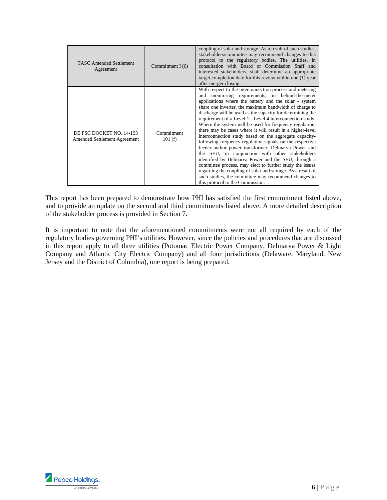| <b>TASC Amended Settlement</b><br>Agreement              | Commitment I $(6)$   | coupling of solar and storage. As a result of such studies,<br>stakeholders/committee may recommend changes to this<br>protocol to the regulatory bodies. The utilities, in<br>consultation with Board or Commission Staff and<br>interested stakeholders, shall determine an appropriate<br>target completion date for this review within one (1) year<br>after merger closing.                                                                                                                                                                                                                                                                                                                                                                                                                                                                                                                                                                                                                    |
|----------------------------------------------------------|----------------------|-----------------------------------------------------------------------------------------------------------------------------------------------------------------------------------------------------------------------------------------------------------------------------------------------------------------------------------------------------------------------------------------------------------------------------------------------------------------------------------------------------------------------------------------------------------------------------------------------------------------------------------------------------------------------------------------------------------------------------------------------------------------------------------------------------------------------------------------------------------------------------------------------------------------------------------------------------------------------------------------------------|
| DE PSC DOCKET NO. 14-193<br>Amended Settlement Agreement | Commitment<br>101(f) | With respect to the interconnection process and metering<br>monitoring requirements, in behind-the-meter<br>and<br>applications where the battery and the solar - system<br>share one inverter, the maximum bandwidth of charge to<br>discharge will be used as the capacity for determining the<br>requirement of a Level 1 - Level 4 interconnection study.<br>Where the system will be used for frequency regulation,<br>there may be cases where it will result in a higher-level<br>interconnection study based on the aggregate capacity-<br>following frequency-regulation signals on the respective<br>feeder and/or power transformer. Delmarva Power and<br>the SEU, in conjunction with other stakeholders<br>identified by Delmarva Power and the SEU, through a<br>committee process, may elect to further study the issues<br>regarding the coupling of solar and storage. As a result of<br>such studies, the committee may recommend changes to<br>this protocol to the Commission. |

This report has been prepared to demonstrate how PHI has satisfied the first commitment listed above, and to provide an update on the second and third commitments listed above. A more detailed description of the stakeholder process is provided in Section 7.

It is important to note that the aforementioned commitments were not all required by each of the regulatory bodies governing PHI's utilities. However, since the policies and procedures that are discussed in this report apply to all three utilities (Potomac Electric Power Company, Delmarva Power & Light Company and Atlantic City Electric Company) and all four jurisdictions (Delaware, Maryland, New Jersey and the District of Columbia), one report is being prepared.

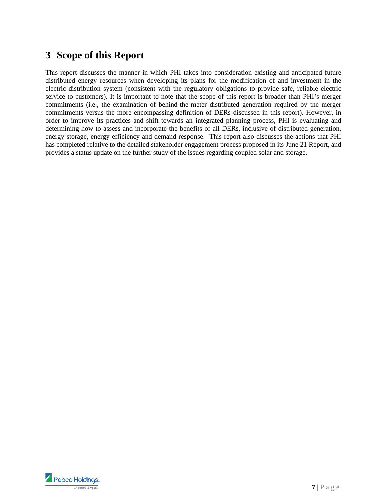## **3 Scope of this Report**

This report discusses the manner in which PHI takes into consideration existing and anticipated future distributed energy resources when developing its plans for the modification of and investment in the electric distribution system (consistent with the regulatory obligations to provide safe, reliable electric service to customers). It is important to note that the scope of this report is broader than PHI's merger commitments (i.e., the examination of behind-the-meter distributed generation required by the merger commitments versus the more encompassing definition of DERs discussed in this report). However, in order to improve its practices and shift towards an integrated planning process, PHI is evaluating and determining how to assess and incorporate the benefits of all DERs, inclusive of distributed generation, energy storage, energy efficiency and demand response. This report also discusses the actions that PHI has completed relative to the detailed stakeholder engagement process proposed in its June 21 Report, and provides a status update on the further study of the issues regarding coupled solar and storage.

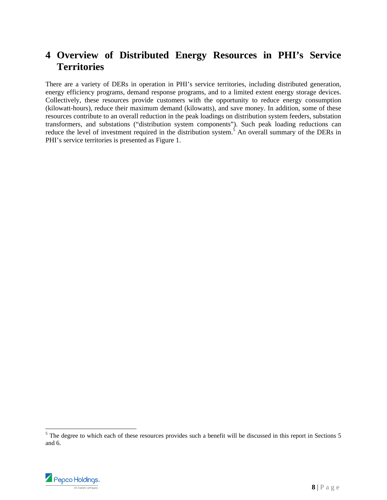## **4 Overview of Distributed Energy Resources in PHI's Service Territories**

There are a variety of DERs in operation in PHI's service territories, including distributed generation, energy efficiency programs, demand response programs, and to a limited extent energy storage devices. Collectively, these resources provide customers with the opportunity to reduce energy consumption (kilowatt-hours), reduce their maximum demand (kilowatts), and save money. In addition, some of these resources contribute to an overall reduction in the peak loadings on distribution system feeders, substation transformers, and substations ("distribution system components"). Such peak loading reductions can reduce the level of investment required in the distribution system.<sup>5</sup> An overall summary of the DERs in PHI's service territories is presented as Figure 1.

<sup>&</sup>lt;sup>5</sup> The degree to which each of these resources provides such a benefit will be discussed in this report in Sections 5 and 6.



l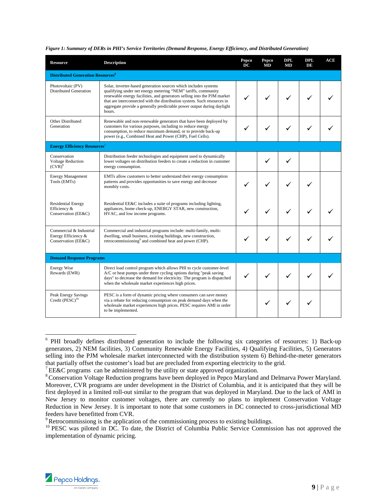| <b>Resource</b>                                                                                                                                                                                                                                                                                                    | <b>Description</b>                                                                                                                                                                                                                                                                                                                                                         |              |   |              | <b>DPL</b><br>DE | ACE |
|--------------------------------------------------------------------------------------------------------------------------------------------------------------------------------------------------------------------------------------------------------------------------------------------------------------------|----------------------------------------------------------------------------------------------------------------------------------------------------------------------------------------------------------------------------------------------------------------------------------------------------------------------------------------------------------------------------|--------------|---|--------------|------------------|-----|
| <b>Distributed Generation Resources<sup>6</sup></b>                                                                                                                                                                                                                                                                |                                                                                                                                                                                                                                                                                                                                                                            |              |   |              |                  |     |
| Photovoltaic (PV)<br>Distributed Generation                                                                                                                                                                                                                                                                        | Solar, inverter-based generation sources which includes systems<br>qualifying under net energy metering "NEM" tariffs, community<br>renewable energy facilities, and generators selling into the PJM market<br>that are interconnected with the distribution system. Such resources in<br>aggregate provide a generally predictable power output during daylight<br>hours. |              |   | $\checkmark$ |                  |     |
| Other Distributed<br>Generation                                                                                                                                                                                                                                                                                    | Renewable and non-renewable generators that have been deployed by<br>customers for various purposes, including to reduce energy<br>consumption, to reduce maximum demand, or to provide back-up<br>power (e.g., Combined Heat and Power (CHP), Fuel Cells).                                                                                                                |              |   |              |                  |     |
| <b>Energy Efficiency Resources</b> 7                                                                                                                                                                                                                                                                               |                                                                                                                                                                                                                                                                                                                                                                            |              |   |              |                  |     |
| Conservation<br><b>Voltage Reduction</b><br>$(CVR)^8$                                                                                                                                                                                                                                                              | Distribution feeder technologies and equipment used to dynamically<br>lower voltages on distribution feeders to create a reduction in customer<br>energy consumption.                                                                                                                                                                                                      |              |   |              |                  |     |
| <b>Energy Management</b><br>Tools (EMTs)                                                                                                                                                                                                                                                                           | EMTs allow customers to better understand their energy consumption<br>patterns and provides opportunities to save energy and decrease<br>monthly costs.                                                                                                                                                                                                                    |              |   |              |                  |     |
| <b>Residential Energy</b><br>Efficiency &<br>Conservation (EE&C)                                                                                                                                                                                                                                                   | Residential EE&C includes a suite of programs including lighting,<br>appliances, home check-up, ENERGY STAR, new construction,<br>HVAC, and low income programs.                                                                                                                                                                                                           |              |   |              |                  |     |
| Commercial & Industrial<br>Commercial and industrial programs include: multi-family, multi-<br>dwelling, small business, existing buildings, new construction,<br>Energy Efficiency &<br>retrocommissioning <sup>9</sup> and combined heat and power (CHP).<br>Conservation (EE&C)                                 |                                                                                                                                                                                                                                                                                                                                                                            | $\checkmark$ |   |              |                  |     |
| <b>Demand Response Programs</b>                                                                                                                                                                                                                                                                                    |                                                                                                                                                                                                                                                                                                                                                                            |              |   |              |                  |     |
| <b>Energy Wise</b><br>Direct load control program which allows PHI to cycle customer-level<br>Rewards (EWR)<br>A/C or heat pumps under three cycling options during "peak saving"<br>days" to decrease the demand for electricity. The program is dispatched<br>when the wholesale market experiences high prices. |                                                                                                                                                                                                                                                                                                                                                                            | $\checkmark$ |   |              |                  |     |
| Peak Energy Savings<br>Credit (PESC) <sup>10</sup>                                                                                                                                                                                                                                                                 | PESC is a form of dynamic pricing where consumers can save money<br>via a rebate for reducing consumption on peak demand days when the<br>wholesale market experiences high prices. PESC requires AMI in order<br>to be implemented.                                                                                                                                       |              | ✓ |              |                  |     |

#### *Figure 1: Summary of DERs in PHI's Service Territories (Demand Response, Energy Efficiency, and Distributed Generation)*



<sup>&</sup>lt;sup>6</sup> PHI broadly defines distributed generation to include the following six categories of resources: 1) Back-up generators, 2) NEM facilities, 3) Community Renewable Energy Facilities, 4) Qualifying Facilities, 5) Generators selling into the PJM wholesale market interconnected with the distribution system 6) Behind-the-meter generators that partially offset the customer's load but are precluded from exporting electricity to the grid. 7 EE&C programs can be administered by the utility or state approved organization.

<sup>&</sup>lt;sup>8</sup> Conservation Voltage Reduction programs have been deployed in Pepco Maryland and Delmarva Power Maryland. Moreover, CVR programs are under development in the District of Columbia, and it is anticipated that they will be first deployed in a limited roll-out similar to the program that was deployed in Maryland. Due to the lack of AMI in New Jersey to monitor customer voltages, there are currently no plans to implement Conservation Voltage Reduction in New Jersey. It is important to note that some customers in DC connected to cross-jurisdictional MD feeders have benefitted from CVR.<br><sup>9</sup> Retrocommissiong is the application of the commissioning process to existing buildings.

<sup>&</sup>lt;sup>10</sup> PESC was piloted in DC. To date, the District of Columbia Public Service Commission has not approved the implementation of dynamic pricing.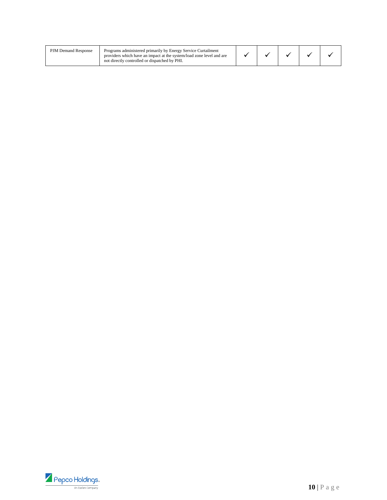| <b>PJM Demand Response</b> | Programs administered primarily by Energy Service Curtailment<br>providers which have an impact at the system/load zone level and are<br>not directly controlled or dispatched by PHI. |  |  |  |  |  |  |
|----------------------------|----------------------------------------------------------------------------------------------------------------------------------------------------------------------------------------|--|--|--|--|--|--|
|----------------------------|----------------------------------------------------------------------------------------------------------------------------------------------------------------------------------------|--|--|--|--|--|--|

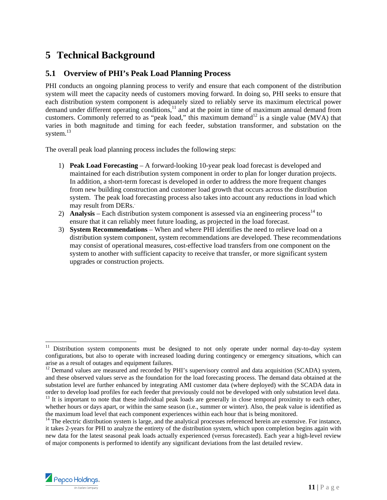## **5 Technical Background**

#### **5.1 Overview of PHI's Peak Load Planning Process**

PHI conducts an ongoing planning process to verify and ensure that each component of the distribution system will meet the capacity needs of customers moving forward. In doing so, PHI seeks to ensure that each distribution system component is adequately sized to reliably serve its maximum electrical power demand under different operating conditions,<sup>11</sup> and at the point in time of maximum annual demand from customers. Commonly referred to as "peak load," this maximum demand<sup>12</sup> is a single value (MVA) that varies in both magnitude and timing for each feeder, substation transformer, and substation on the system.<sup>13</sup>

The overall peak load planning process includes the following steps:

- 1) **Peak Load Forecasting** A forward-looking 10-year peak load forecast is developed and maintained for each distribution system component in order to plan for longer duration projects. In addition, a short-term forecast is developed in order to address the more frequent changes from new building construction and customer load growth that occurs across the distribution system. The peak load forecasting process also takes into account any reductions in load which may result from DERs.
- 2) **Analysis** Each distribution system component is assessed via an engineering process<sup>14</sup> to ensure that it can reliably meet future loading, as projected in the load forecast.
- 3) **System Recommendations** When and where PHI identifies the need to relieve load on a distribution system component, system recommendations are developed. These recommendations may consist of operational measures, cost-effective load transfers from one component on the system to another with sufficient capacity to receive that transfer, or more significant system upgrades or construction projects.

 $14$  The electric distribution system is large, and the analytical processes referenced herein are extensive. For instance, it takes 2-years for PHI to analyze the entirety of the distribution system, which upon completion begins again with new data for the latest seasonal peak loads actually experienced (versus forecasted). Each year a high-level review of major components is performed to identify any significant deviations from the last detailed review.



l

<sup>&</sup>lt;sup>11</sup> Distribution system components must be designed to not only operate under normal day-to-day system configurations, but also to operate with increased loading during contingency or emergency situations, which can arise as a result of outages and equipment failures.

<sup>&</sup>lt;sup>12</sup> Demand values are measured and recorded by PHI's supervisory control and data acquisition (SCADA) system, and these observed values serve as the foundation for the load forecasting process. The demand data obtained at the substation level are further enhanced by integrating AMI customer data (where deployed) with the SCADA data in order to develop load profiles for each feeder that previously could not be developed with only substation level data.<br><sup>13</sup> It is important to note that these individual peak loads are generally in close temporal proximity

whether hours or days apart, or within the same season (i.e., summer or winter). Also, the peak value is identified as the maximum load level that each component experiences within each hour that is being monitored.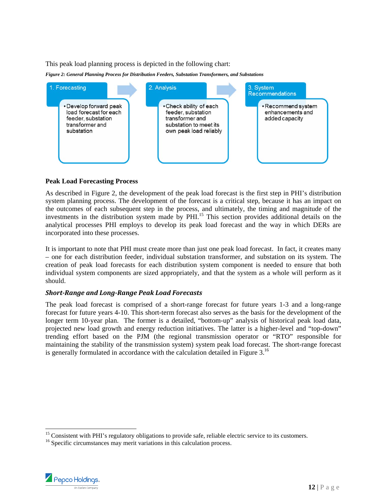This peak load planning process is depicted in the following chart:



#### **Peak Load Forecasting Process**

As described in Figure 2, the development of the peak load forecast is the first step in PHI's distribution system planning process. The development of the forecast is a critical step, because it has an impact on the outcomes of each subsequent step in the process, and ultimately, the timing and magnitude of the investments in the distribution system made by PHI.<sup>15</sup> This section provides additional details on the analytical processes PHI employs to develop its peak load forecast and the way in which DERs are incorporated into these processes.

It is important to note that PHI must create more than just one peak load forecast. In fact, it creates many – one for each distribution feeder, individual substation transformer, and substation on its system. The creation of peak load forecasts for each distribution system component is needed to ensure that both individual system components are sized appropriately, and that the system as a whole will perform as it should.

#### *Short‐Range and Long‐Range Peak Load Forecasts*

The peak load forecast is comprised of a short-range forecast for future years 1-3 and a long-range forecast for future years 4-10. This short-term forecast also serves as the basis for the development of the longer term 10-year plan. The former is a detailed, "bottom-up" analysis of historical peak load data, projected new load growth and energy reduction initiatives. The latter is a higher-level and "top-down" trending effort based on the PJM (the regional transmission operator or "RTO" responsible for maintaining the stability of the transmission system) system peak load forecast. The short-range forecast is generally formulated in accordance with the calculation detailed in Figure  $3<sup>16</sup>$ 

<sup>&</sup>lt;sup>16</sup> Specific circumstances may merit variations in this calculation process.



1

<sup>&</sup>lt;sup>15</sup> Consistent with PHI's regulatory obligations to provide safe, reliable electric service to its customers.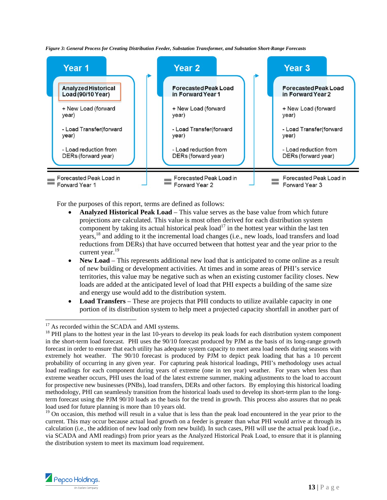*Figure 3: General Process for Creating Distribution Feeder, Substation Transformer, and Substation Short-Range Forecasts* 



For the purposes of this report, terms are defined as follows:

- **Analyzed Historical Peak Load**  This value serves as the base value from which future projections are calculated. This value is most often derived for each distribution system component by taking its actual historical peak  $load<sup>17</sup>$  in the hottest year within the last ten years,18 and adding to it the incremental load changes (i.e., new loads, load transfers and load reductions from DERs) that have occurred between that hottest year and the year prior to the current year.<sup>19</sup>
- **New Load** This represents additional new load that is anticipated to come online as a result of new building or development activities. At times and in some areas of PHI's service territories, this value may be negative such as when an existing customer facility closes. New loads are added at the anticipated level of load that PHI expects a building of the same size and energy use would add to the distribution system.
- Load Transfers These are projects that PHI conducts to utilize available capacity in one portion of its distribution system to help meet a projected capacity shortfall in another part of

 $19$  On occasion, this method will result in a value that is less than the peak load encountered in the year prior to the current. This may occur because actual load growth on a feeder is greater than what PHI would arrive at through its calculation (i.e., the addition of new load only from new build). In such cases, PHI will use the actual peak load (i.e., via SCADA and AMI readings) from prior years as the Analyzed Historical Peak Load, to ensure that it is planning the distribution system to meet its maximum load requirement.



l

 $17$  As recorded within the SCADA and AMI systems.

<sup>&</sup>lt;sup>18</sup> PHI plans to the hottest year in the last 10-years to develop its peak loads for each distribution system component in the short-term load forecast. PHI uses the 90/10 forecast produced by PJM as the basis of its long-range growth forecast in order to ensure that each utility has adequate system capacity to meet area load needs during seasons with extremely hot weather. The 90/10 forecast is produced by PJM to depict peak loading that has a 10 percent probability of occurring in any given year. For capturing peak historical loadings, PHI's methodology uses actual load readings for each component during years of extreme (one in ten year) weather. For years when less than extreme weather occurs, PHI uses the load of the latest extreme summer, making adjustments to the load to account for prospective new businesses (PNBs), load transfers, DERs and other factors. By employing this historical loading methodology, PHI can seamlessly transition from the historical loads used to develop its short-term plan to the longterm forecast using the PJM 90/10 loads as the basis for the trend in growth. This process also assures that no peak load used for future planning is more than 10 years old.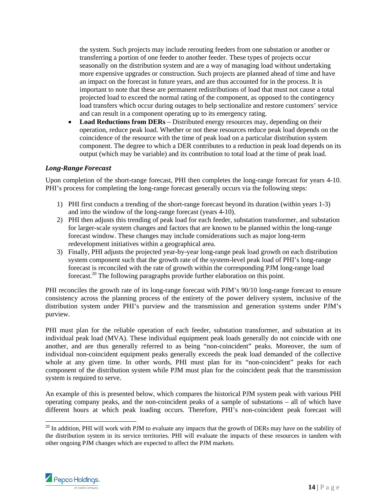the system. Such projects may include rerouting feeders from one substation or another or transferring a portion of one feeder to another feeder. These types of projects occur seasonally on the distribution system and are a way of managing load without undertaking more expensive upgrades or construction. Such projects are planned ahead of time and have an impact on the forecast in future years, and are thus accounted for in the process. It is important to note that these are permanent redistributions of load that must not cause a total projected load to exceed the normal rating of the component, as opposed to the contingency load transfers which occur during outages to help sectionalize and restore customers' service and can result in a component operating up to its emergency rating.

 **Load Reductions from DERs** – Distributed energy resources may, depending on their operation, reduce peak load. Whether or not these resources reduce peak load depends on the coincidence of the resource with the time of peak load on a particular distribution system component. The degree to which a DER contributes to a reduction in peak load depends on its output (which may be variable) and its contribution to total load at the time of peak load.

#### *Long‐Range Forecast*

Upon completion of the short-range forecast, PHI then completes the long-range forecast for years 4-10. PHI's process for completing the long-range forecast generally occurs via the following steps:

- 1) PHI first conducts a trending of the short-range forecast beyond its duration (within years 1-3) and into the window of the long-range forecast (years 4-10).
- 2) PHI then adjusts this trending of peak load for each feeder, substation transformer, and substation for larger-scale system changes and factors that are known to be planned within the long-range forecast window. These changes may include considerations such as major long-term redevelopment initiatives within a geographical area.
- 3) Finally, PHI adjusts the projected year-by-year long-range peak load growth on each distribution system component such that the growth rate of the system-level peak load of PHI's long-range forecast is reconciled with the rate of growth within the corresponding PJM long-range load forecast.20 The following paragraphs provide further elaboration on this point.

PHI reconciles the growth rate of its long-range forecast with PJM's 90/10 long-range forecast to ensure consistency across the planning process of the entirety of the power delivery system, inclusive of the distribution system under PHI's purview and the transmission and generation systems under PJM's purview.

PHI must plan for the reliable operation of each feeder, substation transformer, and substation at its individual peak load (MVA). These individual equipment peak loads generally do not coincide with one another, and are thus generally referred to as being "non-coincident" peaks. Moreover, the sum of individual non-coincident equipment peaks generally exceeds the peak load demanded of the collective whole at any given time. In other words, PHI must plan for its "non-coincident" peaks for each component of the distribution system while PJM must plan for the coincident peak that the transmission system is required to serve.

An example of this is presented below, which compares the historical PJM system peak with various PHI operating company peaks, and the non-coincident peaks of a sample of substations – all of which have different hours at which peak loading occurs. Therefore, PHI's non-coincident peak forecast will

 $20$  In addition, PHI will work with PJM to evaluate any impacts that the growth of DERs may have on the stability of the distribution system in its service territories. PHI will evaluate the impacts of these resources in tandem with other ongoing PJM changes which are expected to affect the PJM markets.



-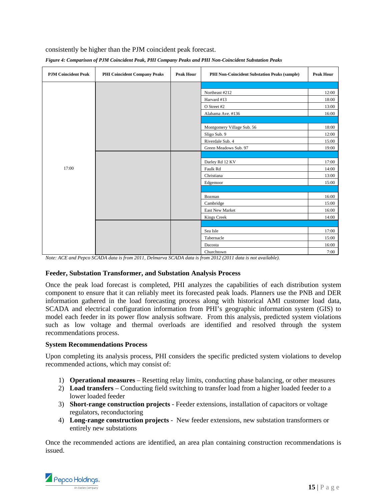consistently be higher than the PJM coincident peak forecast.

| <b>PJM Coincident Peak</b> | <b>PHI Coincident Company Peaks</b> | <b>Peak Hour</b> | <b>PHI Non-Coincident Substation Peaks (sample)</b> | <b>Peak Hour</b> |  |
|----------------------------|-------------------------------------|------------------|-----------------------------------------------------|------------------|--|
|                            |                                     |                  |                                                     |                  |  |
|                            |                                     |                  | Northeast #212                                      | 12:00            |  |
|                            |                                     |                  | Harvard #13                                         | 18:00            |  |
|                            |                                     |                  | O Street #2                                         | 13:00            |  |
|                            |                                     |                  | Alabama Ave. #136                                   | 16:00            |  |
|                            |                                     |                  |                                                     |                  |  |
|                            |                                     |                  | Montgomery Village Sub. 56                          | 18:00            |  |
|                            |                                     |                  | Sligo Sub. 9                                        | 12:00            |  |
|                            |                                     |                  | Riverdale Sub. 4                                    | 15:00            |  |
|                            |                                     |                  | Green Meadows Sub. 97                               | 19:00            |  |
|                            |                                     |                  |                                                     |                  |  |
|                            |                                     |                  | Darley Rd 12 KV                                     | 17:00            |  |
| 17:00                      |                                     |                  | Faulk Rd                                            | 14:00            |  |
|                            |                                     |                  | Christiana                                          | 13:00            |  |
|                            |                                     |                  | Edgemoor                                            | 15:00            |  |
|                            |                                     |                  |                                                     |                  |  |
|                            |                                     |                  | Bozman                                              | 16:00            |  |
|                            |                                     |                  | Cambridge                                           | 15:00            |  |
|                            |                                     |                  | East New Market                                     | 16:00            |  |
|                            |                                     |                  | Kings Creek                                         | 14:00            |  |
|                            |                                     |                  |                                                     |                  |  |
|                            |                                     |                  | Sea Isle                                            | 17:00            |  |
|                            |                                     |                  | Tabernacle                                          | 15:00            |  |
|                            |                                     |                  | Dacosta                                             | 16:00            |  |
|                            |                                     |                  | Churchtown                                          | 7:00             |  |

|  | Figure 4: Comparison of PJM Coincident Peak, PHI Company Peaks and PHI Non-Coincident Substation Peaks |
|--|--------------------------------------------------------------------------------------------------------|
|  |                                                                                                        |

*Note: ACE and Pepco SCADA data is from 2011, Delmarva SCADA data is from 2012 (2011 data is not available).* 

#### **Feeder, Substation Transformer, and Substation Analysis Process**

Once the peak load forecast is completed, PHI analyzes the capabilities of each distribution system component to ensure that it can reliably meet its forecasted peak loads. Planners use the PNB and DER information gathered in the load forecasting process along with historical AMI customer load data, SCADA and electrical configuration information from PHI's geographic information system (GIS) to model each feeder in its power flow analysis software. From this analysis, predicted system violations such as low voltage and thermal overloads are identified and resolved through the system recommendations process.

#### **System Recommendations Process**

Upon completing its analysis process, PHI considers the specific predicted system violations to develop recommended actions, which may consist of:

- 1) **Operational measures** Resetting relay limits, conducting phase balancing, or other measures
- 2) **Load transfers** Conducting field switching to transfer load from a higher loaded feeder to a lower loaded feeder
- 3) **Short-range construction projects** Feeder extensions, installation of capacitors or voltage regulators, reconductoring
- 4) **Long-range construction projects** New feeder extensions, new substation transformers or entirely new substations

Once the recommended actions are identified, an area plan containing construction recommendations is issued.

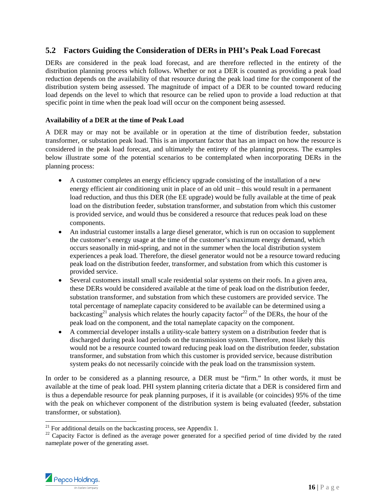#### **5.2 Factors Guiding the Consideration of DERs in PHI's Peak Load Forecast**

DERs are considered in the peak load forecast, and are therefore reflected in the entirety of the distribution planning process which follows. Whether or not a DER is counted as providing a peak load reduction depends on the availability of that resource during the peak load time for the component of the distribution system being assessed. The magnitude of impact of a DER to be counted toward reducing load depends on the level to which that resource can be relied upon to provide a load reduction at that specific point in time when the peak load will occur on the component being assessed.

#### **Availability of a DER at the time of Peak Load**

A DER may or may not be available or in operation at the time of distribution feeder, substation transformer, or substation peak load. This is an important factor that has an impact on how the resource is considered in the peak load forecast, and ultimately the entirety of the planning process. The examples below illustrate some of the potential scenarios to be contemplated when incorporating DERs in the planning process:

- A customer completes an energy efficiency upgrade consisting of the installation of a new energy efficient air conditioning unit in place of an old unit – this would result in a permanent load reduction, and thus this DER (the EE upgrade) would be fully available at the time of peak load on the distribution feeder, substation transformer, and substation from which this customer is provided service, and would thus be considered a resource that reduces peak load on these components.
- An industrial customer installs a large diesel generator, which is run on occasion to supplement the customer's energy usage at the time of the customer's maximum energy demand, which occurs seasonally in mid-spring, and not in the summer when the local distribution system experiences a peak load. Therefore, the diesel generator would not be a resource toward reducing peak load on the distribution feeder, transformer, and substation from which this customer is provided service.
- Several customers install small scale residential solar systems on their roofs. In a given area, these DERs would be considered available at the time of peak load on the distribution feeder, substation transformer, and substation from which these customers are provided service. The total percentage of nameplate capacity considered to be available can be determined using a backcasting<sup>21</sup> analysis which relates the hourly capacity factor<sup>22</sup> of the DERs, the hour of the peak load on the component, and the total nameplate capacity on the component.
- A commercial developer installs a utility-scale battery system on a distribution feeder that is discharged during peak load periods on the transmission system. Therefore, most likely this would not be a resource counted toward reducing peak load on the distribution feeder, substation transformer, and substation from which this customer is provided service, because distribution system peaks do not necessarily coincide with the peak load on the transmission system.

In order to be considered as a planning resource, a DER must be "firm." In other words, it must be available at the time of peak load. PHI system planning criteria dictate that a DER is considered firm and is thus a dependable resource for peak planning purposes, if it is available (or coincides) 95% of the time with the peak on whichever component of the distribution system is being evaluated (feeder, substation transformer, or substation).

<sup>&</sup>lt;sup>22</sup> Capacity Factor is defined as the average power generated for a specified period of time divided by the rated nameplate power of the generating asset.



-

 $^{21}$  For additional details on the backcasting process, see Appendix 1.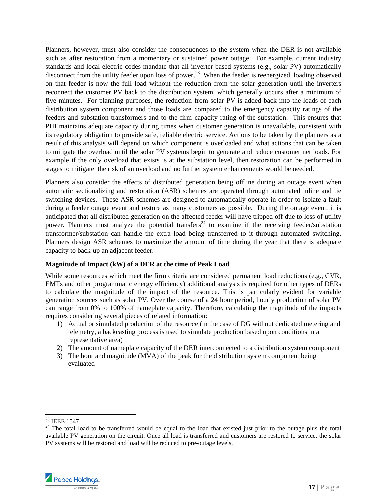Planners, however, must also consider the consequences to the system when the DER is not available such as after restoration from a momentary or sustained power outage. For example, current industry standards and local electric codes mandate that all inverter-based systems (e.g., solar PV) automatically disconnect from the utility feeder upon loss of power.<sup>23</sup> When the feeder is reenergized, loading observed on that feeder is now the full load without the reduction from the solar generation until the inverters reconnect the customer PV back to the distribution system, which generally occurs after a minimum of five minutes. For planning purposes, the reduction from solar PV is added back into the loads of each distribution system component and those loads are compared to the emergency capacity ratings of the feeders and substation transformers and to the firm capacity rating of the substation. This ensures that PHI maintains adequate capacity during times when customer generation is unavailable, consistent with its regulatory obligation to provide safe, reliable electric service. Actions to be taken by the planners as a result of this analysis will depend on which component is overloaded and what actions that can be taken to mitigate the overload until the solar PV systems begin to generate and reduce customer net loads. For example if the only overload that exists is at the substation level, then restoration can be performed in stages to mitigate the risk of an overload and no further system enhancements would be needed.

Planners also consider the effects of distributed generation being offline during an outage event when automatic sectionalizing and restoration (ASR) schemes are operated through automated inline and tie switching devices. These ASR schemes are designed to automatically operate in order to isolate a fault during a feeder outage event and restore as many customers as possible. During the outage event, it is anticipated that all distributed generation on the affected feeder will have tripped off due to loss of utility power. Planners must analyze the potential transfers<sup>24</sup> to examine if the receiving feeder/substation transformer/substation can handle the extra load being transferred to it through automated switching. Planners design ASR schemes to maximize the amount of time during the year that there is adequate capacity to back-up an adjacent feeder.

#### **Magnitude of Impact (kW) of a DER at the time of Peak Load**

While some resources which meet the firm criteria are considered permanent load reductions (e.g., CVR, EMTs and other programmatic energy efficiency) additional analysis is required for other types of DERs to calculate the magnitude of the impact of the resource. This is particularly evident for variable generation sources such as solar PV. Over the course of a 24 hour period, hourly production of solar PV can range from 0% to 100% of nameplate capacity. Therefore, calculating the magnitude of the impacts requires considering several pieces of related information:

- 1) Actual or simulated production of the resource (in the case of DG without dedicated metering and telemetry, a backcasting process is used to simulate production based upon conditions in a representative area)
- 2) The amount of nameplate capacity of the DER interconnected to a distribution system component
- 3) The hour and magnitude (MVA) of the peak for the distribution system component being evaluated

1

 $24$  The total load to be transferred would be equal to the load that existed just prior to the outage plus the total available PV generation on the circuit. Once all load is transferred and customers are restored to service, the solar PV systems will be restored and load will be reduced to pre-outage levels.



 $^{23}$  IEEE 1547.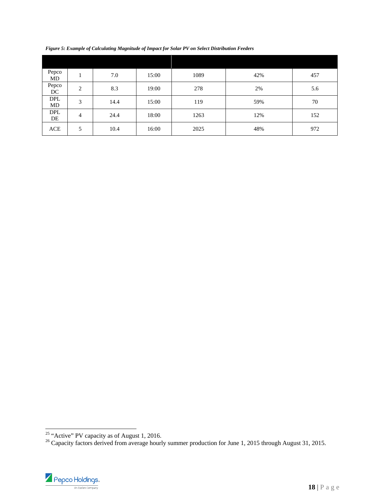| Pepco<br>MD      |                | 7.0  | 15:00 | 1089 | 42% | 457 |
|------------------|----------------|------|-------|------|-----|-----|
| Pepco<br>DC      | $\overline{2}$ | 8.3  | 19:00 | 278  | 2%  | 5.6 |
| <b>DPL</b><br>MD | 3              | 14.4 | 15:00 | 119  | 59% | 70  |
| <b>DPL</b><br>DE | $\overline{4}$ | 24.4 | 18:00 | 1263 | 12% | 152 |
| ACE              | 5              | 10.4 | 16:00 | 2025 | 48% | 972 |

*Figure 5: Example of Calculating Magnitude of Impact for Solar PV on Select Distribution Feeders* 

<sup>&</sup>lt;sup>25</sup> "Active" PV capacity as of August 1, 2016.<br><sup>26</sup> Capacity factors derived from average hourly summer production for June 1, 2015 through August 31, 2015.



l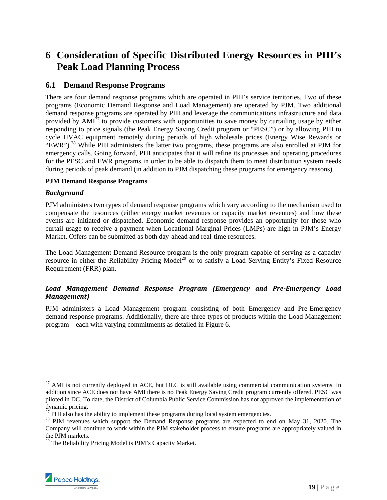## **6 Consideration of Specific Distributed Energy Resources in PHI's Peak Load Planning Process**

#### **6.1 Demand Response Programs**

There are four demand response programs which are operated in PHI's service territories. Two of these programs (Economic Demand Response and Load Management) are operated by PJM. Two additional demand response programs are operated by PHI and leverage the communications infrastructure and data provided by  $AMI^{27}$  to provide customers with opportunities to save money by curtailing usage by either responding to price signals (the Peak Energy Saving Credit program or "PESC") or by allowing PHI to cycle HVAC equipment remotely during periods of high wholesale prices (Energy Wise Rewards or "EWR").<sup>28</sup> While PHI administers the latter two programs, these programs are also enrolled at PJM for emergency calls. Going forward, PHI anticipates that it will refine its processes and operating procedures for the PESC and EWR programs in order to be able to dispatch them to meet distribution system needs during periods of peak demand (in addition to PJM dispatching these programs for emergency reasons).

#### **PJM Demand Response Programs**

#### *Background*

PJM administers two types of demand response programs which vary according to the mechanism used to compensate the resources (either energy market revenues or capacity market revenues) and how these events are initiated or dispatched. Economic demand response provides an opportunity for those who curtail usage to receive a payment when Locational Marginal Prices (LMPs) are high in PJM's Energy Market. Offers can be submitted as both day-ahead and real-time resources.

The Load Management Demand Resource program is the only program capable of serving as a capacity resource in either the Reliability Pricing Model<sup>29</sup> or to satisfy a Load Serving Entity's Fixed Resource Requirement (FRR) plan.

#### *Load Management Demand Response Program (Emergency and Pre‐Emergency Load Management)*

PJM administers a Load Management program consisting of both Emergency and Pre-Emergency demand response programs. Additionally, there are three types of products within the Load Management program – each with varying commitments as detailed in Figure 6.

<sup>&</sup>lt;sup>29</sup> The Reliability Pricing Model is PJM's Capacity Market.



<sup>1</sup>  $^{27}$  AMI is not currently deployed in ACE, but DLC is still available using commercial communication systems. In addition since ACE does not have AMI there is no Peak Energy Saving Credit program currently offered. PESC was piloted in DC. To date, the District of Columbia Public Service Commission has not approved the implementation of dynamic pricing.

 $27$  PHI also has the ability to implement these programs during local system emergencies.

<sup>&</sup>lt;sup>28</sup> PJM revenues which support the Demand Response programs are expected to end on May 31, 2020. The Company will continue to work within the PJM stakeholder process to ensure programs are appropriately valued in the PJM markets.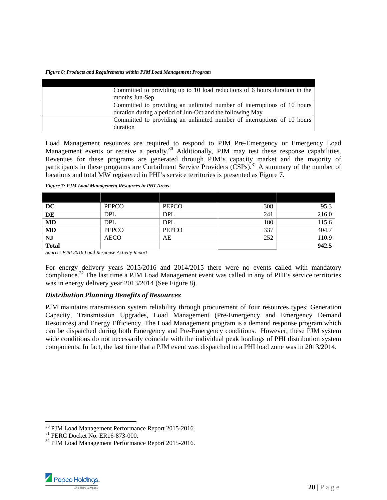*Figure 6: Products and Requirements within PJM Load Management Program* 

| Committed to providing up to 10 load reductions of 6 hours duration in the |
|----------------------------------------------------------------------------|
| months Jun-Sep                                                             |
| Committed to providing an unlimited number of interruptions of 10 hours    |
| duration during a period of Jun-Oct and the following May                  |
| Committed to providing an unlimited number of interruptions of 10 hours    |
| duration                                                                   |

Load Management resources are required to respond to PJM Pre-Emergency or Emergency Load Management events or receive a penalty.<sup>30</sup> Additionally, PJM may test these response capabilities. Revenues for these programs are generated through PJM's capacity market and the majority of participants in these programs are Curtailment Service Providers  $(CSPs)$ .<sup>31</sup> A summary of the number of locations and total MW registered in PHI's service territories is presented as Figure 7.

| DC                       | <b>PEPCO</b> | PEPCO      | 308 | 95.3  |
|--------------------------|--------------|------------|-----|-------|
| $\overline{\mathbf{DE}}$ | <b>DPL</b>   | <b>DPL</b> | 241 | 216.0 |
| <b>MD</b>                | <b>DPL</b>   | <b>DPL</b> | 180 | 115.6 |
| <b>MD</b>                | PEPCO        | PEPCO      | 337 | 404.7 |
| <b>NJ</b>                | <b>AECO</b>  | AE         | 252 | 110.9 |
| <b>Total</b>             |              |            |     | 942.5 |

*Figure 7: PJM Load Management Resources in PHI Areas* 

*Source: PJM 2016 Load Response Activity Report* 

For energy delivery years 2015/2016 and 2014/2015 there were no events called with mandatory compliance.<sup>32</sup> The last time a PJM Load Management event was called in any of PHI's service territories was in energy delivery year 2013/2014 (See Figure 8).

#### *Distribution Planning Benefits of Resources*

PJM maintains transmission system reliability through procurement of four resources types: Generation Capacity, Transmission Upgrades, Load Management (Pre-Emergency and Emergency Demand Resources) and Energy Efficiency. The Load Management program is a demand response program which can be dispatched during both Emergency and Pre-Emergency conditions. However, these PJM system wide conditions do not necessarily coincide with the individual peak loadings of PHI distribution system components. In fact, the last time that a PJM event was dispatched to a PHI load zone was in 2013/2014.

<sup>32</sup> PJM Load Management Performance Report 2015-2016.



 $\overline{a}$ 

<sup>&</sup>lt;sup>30</sup> PJM Load Management Performance Report 2015-2016.

<sup>&</sup>lt;sup>31</sup> FERC Docket No. ER16-873-000.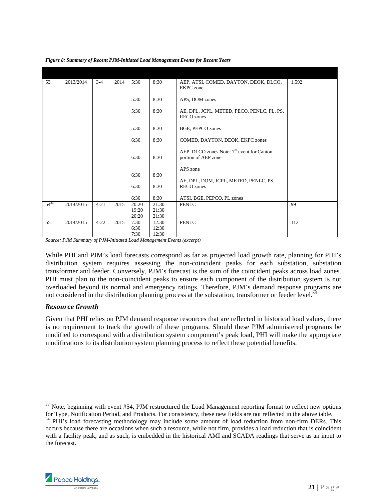| 53        | 2013/2014       | $3 - 4$  | 2014                      | 5:30          | 8:30           | AEP, ATSI, COMED, DAYTON, DEOK, DLCO,<br><b>EKPC</b> zone                     | 1,592 |
|-----------|-----------------|----------|---------------------------|---------------|----------------|-------------------------------------------------------------------------------|-------|
|           |                 |          |                           | 5:30          | 8:30           | APS, DOM zones                                                                |       |
|           |                 |          |                           | 5:30          | 8:30           | AE, DPL, JCPL, METED, PECO, PENLC, PL, PS,<br>RECO zones                      |       |
|           |                 |          |                           | 5:30          | 8:30           | <b>BGE, PEPCO zones</b>                                                       |       |
|           |                 |          |                           | 6:30          | 8:30           | COMED, DAYTON, DEOK, EKPC zones                                               |       |
|           |                 |          |                           | 6:30          | 8:30           | AEP, DLCO zones Note: 7 <sup>th</sup> event for Canton<br>portion of AEP zone |       |
|           |                 |          |                           | 6:30          | 8:30           | APS zone<br>AE, DPL, DOM, JCPL, METED, PENLC, PS,                             |       |
|           |                 |          |                           | 6:30          | 8:30           | <b>RECO</b> zones                                                             |       |
|           |                 |          |                           | 6:30          | 8:30           | ATSI, BGE, PEPCO, PL zones                                                    |       |
| $54^{33}$ | 2014/2015       | $4 - 21$ | 2015                      | 20:20         | 21:30          | <b>PENLC</b>                                                                  | 99    |
|           |                 |          |                           | 19:20         | 21:30<br>21:30 |                                                                               |       |
| 55        | 2014/2015       | $4 - 22$ | 2015                      | 20:20<br>7:30 | 12:30          | <b>PENLC</b>                                                                  | 113   |
|           |                 |          |                           | 6:30          | 12:30          |                                                                               |       |
| $\sim$    | $P$ $P$ $P$ $P$ |          | $c$ part $r$ $\cdots$ $r$ | 7:30          | 12:30          | $\sim$ $\sim$<br><b>COLLEGE</b>                                               |       |

*Figure 8: Summary of Recent PJM-Initiated Load Management Events for Recent Years* 

*Source: PJM Summary of PJM-Initiated Load Management Events (excerpt)* 

While PHI and PJM's load forecasts correspond as far as projected load growth rate, planning for PHI's distribution system requires assessing the non-coincident peaks for each substation, substation transformer and feeder. Conversely, PJM's forecast is the sum of the coincident peaks across load zones. PHI must plan to the non-coincident peaks to ensure each component of the distribution system is not overloaded beyond its normal and emergency ratings. Therefore, PJM's demand response programs are not considered in the distribution planning process at the substation, transformer or feeder level.<sup>34</sup>

#### *Resource Growth*

Given that PHI relies on PJM demand response resources that are reflected in historical load values, there is no requirement to track the growth of these programs. Should these PJM administered programs be modified to correspond with a distribution system component's peak load, PHI will make the appropriate modifications to its distribution system planning process to reflect these potential benefits.

for Type, Notification Period, and Products. For consistency, these new fields are not reflected in the above table. 34 PHI's load forecasting methodology may include some amount of load reduction from non-firm DERs. This occurs because there are occasions when such a resource, while not firm, provides a load reduction that is coincident with a facility peak, and as such, is embedded in the historical AMI and SCADA readings that serve as an input to the forecast.



 $\overline{a}$  $33$  Note, beginning with event #54, PJM restructured the Load Management reporting format to reflect new options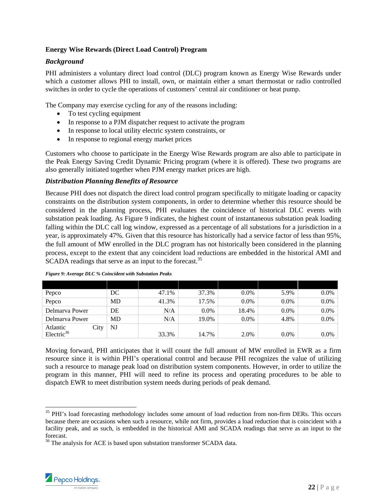#### **Energy Wise Rewards (Direct Load Control) Program**

#### *Background*

PHI administers a voluntary direct load control (DLC) program known as Energy Wise Rewards under which a customer allows PHI to install, own, or maintain either a smart thermostat or radio controlled switches in order to cycle the operations of customers' central air conditioner or heat pump.

The Company may exercise cycling for any of the reasons including:

- To test cycling equipment
- In response to a PJM dispatcher request to activate the program
- In response to local utility electric system constraints, or
- In response to regional energy market prices

Customers who choose to participate in the Energy Wise Rewards program are also able to participate in the Peak Energy Saving Credit Dynamic Pricing program (where it is offered). These two programs are also generally initiated together when PJM energy market prices are high.

#### *Distribution Planning Benefits of Resource*

Because PHI does not dispatch the direct load control program specifically to mitigate loading or capacity constraints on the distribution system components, in order to determine whether this resource should be considered in the planning process, PHI evaluates the coincidence of historical DLC events with substation peak loading. As Figure 9 indicates, the highest count of instantaneous substation peak loading falling within the DLC call log window, expressed as a percentage of all substations for a jurisdiction in a year, is approximately 47%. Given that this resource has historically had a service factor of less than 95%, the full amount of MW enrolled in the DLC program has not historically been considered in the planning process, except to the extent that any coincident load reductions are embedded in the historical AMI and SCADA readings that serve as an input to the forecast.<sup>35</sup>

| Pepco          |      | DC | 47.1% | 37.3%   | $0.0\%$ | 5.9%    | $0.0\%$ |
|----------------|------|----|-------|---------|---------|---------|---------|
| Pepco          |      | MD | 41.3% | 17.5%   | $0.0\%$ | $0.0\%$ | $0.0\%$ |
| Delmarya Power |      | DE | N/A   | $0.0\%$ | 18.4%   | $0.0\%$ | $0.0\%$ |
| Delmarya Power |      | MD | N/A   | 19.0%   | $0.0\%$ | 4.8%    | $0.0\%$ |
| Atlantic       | City | NJ |       |         |         |         |         |
| Electric $36$  |      |    | 33.3% | 14.7%   | 2.0%    | $0.0\%$ | $0.0\%$ |

|  | Figure 9: Average DLC % Coincident with Substation Peaks |  |  |
|--|----------------------------------------------------------|--|--|
|  |                                                          |  |  |

Moving forward, PHI anticipates that it will count the full amount of MW enrolled in EWR as a firm resource since it is within PHI's operational control and because PHI recognizes the value of utilizing such a resource to manage peak load on distribution system components. However, in order to utilize the program in this manner, PHI will need to refine its process and operating procedures to be able to dispatch EWR to meet distribution system needs during periods of peak demand.

<sup>&</sup>lt;sup>36</sup> The analysis for ACE is based upon substation transformer SCADA data.



l

<sup>&</sup>lt;sup>35</sup> PHI's load forecasting methodology includes some amount of load reduction from non-firm DERs. This occurs because there are occasions when such a resource, while not firm, provides a load reduction that is coincident with a facility peak, and as such, is embedded in the historical AMI and SCADA readings that serve as an input to the forecast.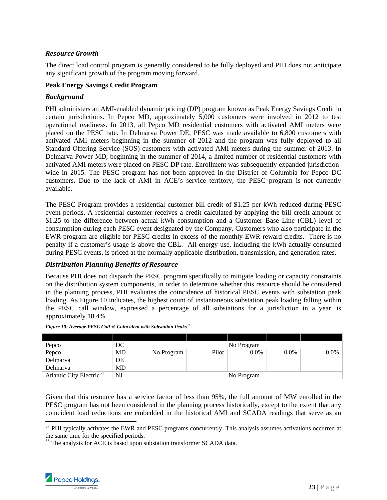#### *Resource Growth*

The direct load control program is generally considered to be fully deployed and PHI does not anticipate any significant growth of the program moving forward.

#### **Peak Energy Savings Credit Program**

#### *Background*

PHI administers an AMI-enabled dynamic pricing (DP) program known as Peak Energy Savings Credit in certain jurisdictions. In Pepco MD, approximately 5,000 customers were involved in 2012 to test operational readiness. In 2013, all Pepco MD residential customers with activated AMI meters were placed on the PESC rate. In Delmarva Power DE, PESC was made available to 6,800 customers with activated AMI meters beginning in the summer of 2012 and the program was fully deployed to all Standard Offering Service (SOS) customers with activated AMI meters during the summer of 2013. In Delmarva Power MD, beginning in the summer of 2014, a limited number of residential customers with activated AMI meters were placed on PESC DP rate. Enrollment was subsequently expanded jurisdictionwide in 2015. The PESC program has not been approved in the District of Columbia for Pepco DC customers. Due to the lack of AMI in ACE's service territory, the PESC program is not currently available.

The PESC Program provides a residential customer bill credit of \$1.25 per kWh reduced during PESC event periods. A residential customer receives a credit calculated by applying the bill credit amount of \$1.25 to the difference between actual kWh consumption and a Customer Base Line (CBL) level of consumption during each PESC event designated by the Company. Customers who also participate in the EWR program are eligible for PESC credits in excess of the monthly EWR reward credits. There is no penalty if a customer's usage is above the CBL. All energy use, including the kWh actually consumed during PESC events, is priced at the normally applicable distribution, transmission, and generation rates.

#### *Distribution Planning Benefits of Resource*

Because PHI does not dispatch the PESC program specifically to mitigate loading or capacity constraints on the distribution system components, in order to determine whether this resource should be considered in the planning process, PHI evaluates the coincidence of historical PESC events with substation peak loading. As Figure 10 indicates, the highest count of instantaneous substation peak loading falling within the PESC call window, expressed a percentage of all substations for a jurisdiction in a year, is approximately 18.4%.

| Pepco                                | DC |            |       | No Program |         |         |
|--------------------------------------|----|------------|-------|------------|---------|---------|
| Pepco                                | MD | No Program | Pilot | $0.0\%$    | $0.0\%$ | $0.0\%$ |
| Delmarva                             | DE |            |       |            |         |         |
| Delmarya                             | MD |            |       |            |         |         |
| Atlantic City Electric <sup>38</sup> | NJ |            |       | No Program |         |         |

*Figure 10: Average PESC Call % Coincident with Substation Peaks<sup>37</sup>*

Given that this resource has a service factor of less than 95%, the full amount of MW enrolled in the PESC program has not been considered in the planning process historically, except to the extent that any coincident load reductions are embedded in the historical AMI and SCADA readings that serve as an  $\overline{a}$ 

<sup>&</sup>lt;sup>38</sup> The analysis for ACE is based upon substation transformer SCADA data.



 $37$  PHI typically activates the EWR and PESC programs concurrently. This analysis assumes activations occurred at the same time for the specified periods.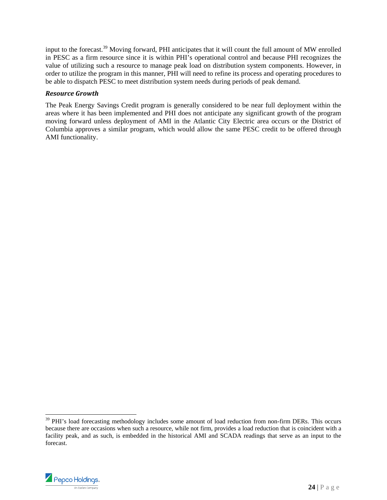input to the forecast.39 Moving forward, PHI anticipates that it will count the full amount of MW enrolled in PESC as a firm resource since it is within PHI's operational control and because PHI recognizes the value of utilizing such a resource to manage peak load on distribution system components. However, in order to utilize the program in this manner, PHI will need to refine its process and operating procedures to be able to dispatch PESC to meet distribution system needs during periods of peak demand.

#### *Resource Growth*

The Peak Energy Savings Credit program is generally considered to be near full deployment within the areas where it has been implemented and PHI does not anticipate any significant growth of the program moving forward unless deployment of AMI in the Atlantic City Electric area occurs or the District of Columbia approves a similar program, which would allow the same PESC credit to be offered through AMI functionality.

<sup>&</sup>lt;sup>39</sup> PHI's load forecasting methodology includes some amount of load reduction from non-firm DERs. This occurs because there are occasions when such a resource, while not firm, provides a load reduction that is coincident with a facility peak, and as such, is embedded in the historical AMI and SCADA readings that serve as an input to the forecast.



1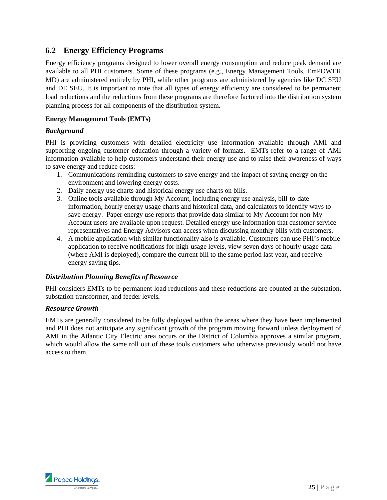#### **6.2 Energy Efficiency Programs**

Energy efficiency programs designed to lower overall energy consumption and reduce peak demand are available to all PHI customers. Some of these programs (e.g., Energy Management Tools, EmPOWER MD) are administered entirely by PHI, while other programs are administered by agencies like DC SEU and DE SEU. It is important to note that all types of energy efficiency are considered to be permanent load reductions and the reductions from these programs are therefore factored into the distribution system planning process for all components of the distribution system.

#### **Energy Management Tools (EMTs)**

#### *Background*

PHI is providing customers with detailed electricity use information available through AMI and supporting ongoing customer education through a variety of formats. EMTs refer to a range of AMI information available to help customers understand their energy use and to raise their awareness of ways to save energy and reduce costs:

- 1. Communications reminding customers to save energy and the impact of saving energy on the environment and lowering energy costs.
- 2. Daily energy use charts and historical energy use charts on bills.
- 3. Online tools available through My Account, including energy use analysis, bill-to-date information, hourly energy usage charts and historical data, and calculators to identify ways to save energy. Paper energy use reports that provide data similar to My Account for non-My Account users are available upon request. Detailed energy use information that customer service representatives and Energy Advisors can access when discussing monthly bills with customers.
- 4. A mobile application with similar functionality also is available. Customers can use PHI's mobile application to receive notifications for high-usage levels, view seven days of hourly usage data (where AMI is deployed), compare the current bill to the same period last year, and receive energy saving tips.

#### *Distribution Planning Benefits of Resource*

PHI considers EMTs to be permanent load reductions and these reductions are counted at the substation, substation transformer, and feeder levels*.* 

#### *Resource Growth*

EMTs are generally considered to be fully deployed within the areas where they have been implemented and PHI does not anticipate any significant growth of the program moving forward unless deployment of AMI in the Atlantic City Electric area occurs or the District of Columbia approves a similar program, which would allow the same roll out of these tools customers who otherwise previously would not have access to them.

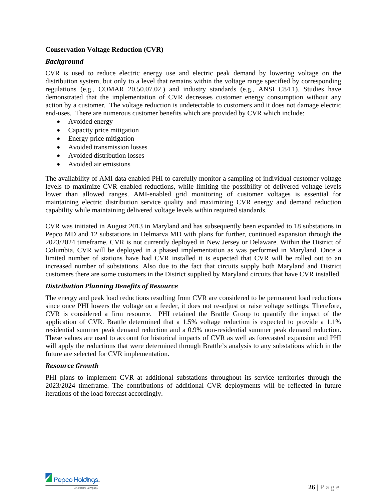#### **Conservation Voltage Reduction (CVR)**

#### *Background*

CVR is used to reduce electric energy use and electric peak demand by lowering voltage on the distribution system, but only to a level that remains within the voltage range specified by corresponding regulations (e.g., COMAR 20.50.07.02.) and industry standards (e.g., ANSI C84.1). Studies have demonstrated that the implementation of CVR decreases customer energy consumption without any action by a customer. The voltage reduction is undetectable to customers and it does not damage electric end-uses. There are numerous customer benefits which are provided by CVR which include:

- Avoided energy
- Capacity price mitigation
- Energy price mitigation
- Avoided transmission losses
- Avoided distribution losses
- Avoided air emissions

The availability of AMI data enabled PHI to carefully monitor a sampling of individual customer voltage levels to maximize CVR enabled reductions, while limiting the possibility of delivered voltage levels lower than allowed ranges. AMI-enabled grid monitoring of customer voltages is essential for maintaining electric distribution service quality and maximizing CVR energy and demand reduction capability while maintaining delivered voltage levels within required standards.

CVR was initiated in August 2013 in Maryland and has subsequently been expanded to 18 substations in Pepco MD and 12 substations in Delmarva MD with plans for further, continued expansion through the 2023/2024 timeframe. CVR is not currently deployed in New Jersey or Delaware. Within the District of Columbia, CVR will be deployed in a phased implementation as was performed in Maryland. Once a limited number of stations have had CVR installed it is expected that CVR will be rolled out to an increased number of substations. Also due to the fact that circuits supply both Maryland and District customers there are some customers in the District supplied by Maryland circuits that have CVR installed.

#### *Distribution Planning Benefits of Resource*

The energy and peak load reductions resulting from CVR are considered to be permanent load reductions since once PHI lowers the voltage on a feeder, it does not re-adjust or raise voltage settings. Therefore, CVR is considered a firm resource. PHI retained the Brattle Group to quantify the impact of the application of CVR. Brattle determined that a 1.5% voltage reduction is expected to provide a 1.1% residential summer peak demand reduction and a 0.9% non-residential summer peak demand reduction. These values are used to account for historical impacts of CVR as well as forecasted expansion and PHI will apply the reductions that were determined through Brattle's analysis to any substations which in the future are selected for CVR implementation.

#### *Resource Growth*

PHI plans to implement CVR at additional substations throughout its service territories through the 2023/2024 timeframe. The contributions of additional CVR deployments will be reflected in future iterations of the load forecast accordingly.

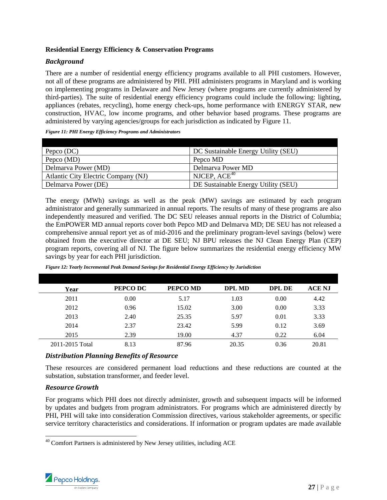#### **Residential Energy Efficiency & Conservation Programs**

#### *Background*

There are a number of residential energy efficiency programs available to all PHI customers. However, not all of these programs are administered by PHI. PHI administers programs in Maryland and is working on implementing programs in Delaware and New Jersey (where programs are currently administered by third-parties). The suite of residential energy efficiency programs could include the following: lighting, appliances (rebates, recycling), home energy check-ups, home performance with ENERGY STAR, new construction, HVAC, low income programs, and other behavior based programs. These programs are administered by varying agencies/groups for each jurisdiction as indicated by Figure 11.

*Figure 11: PHI Energy Efficiency Programs and Administrators* 

| Pepco (DC)                          | DC Sustainable Energy Utility (SEU) |
|-------------------------------------|-------------------------------------|
| Pepco (MD)                          | Pepco MD                            |
| Delmarva Power (MD)                 | Delmarva Power MD                   |
| Atlantic City Electric Company (NJ) | NJCEP, $ACE40$                      |
| Delmarva Power (DE)                 | DE Sustainable Energy Utility (SEU) |

The energy (MWh) savings as well as the peak (MW) savings are estimated by each program administrator and generally summarized in annual reports. The results of many of these programs are also independently measured and verified. The DC SEU releases annual reports in the District of Columbia; the EmPOWER MD annual reports cover both Pepco MD and Delmarva MD; DE SEU has not released a comprehensive annual report yet as of mid-2016 and the preliminary program-level savings (below) were obtained from the executive director at DE SEU; NJ BPU releases the NJ Clean Energy Plan (CEP) program reports, covering all of NJ. The figure below summarizes the residential energy efficiency MW savings by year for each PHI jurisdiction.

| Year            | PEPCO DC | PEPCO MD | <b>DPL MD</b> | DPL DE | <b>ACE NJ</b> |
|-----------------|----------|----------|---------------|--------|---------------|
| 2011            | 0.00     | 5.17     | 1.03          | 0.00   | 4.42          |
| 2012            | 0.96     | 15.02    | 3.00          | 0.00   | 3.33          |
| 2013            | 2.40     | 25.35    | 5.97          | 0.01   | 3.33          |
| 2014            | 2.37     | 23.42    | 5.99          | 0.12   | 3.69          |
| 2015            | 2.39     | 19.00    | 4.37          | 0.22   | 6.04          |
| 2011-2015 Total | 8.13     | 87.96    | 20.35         | 0.36   | 20.81         |

*Figure 12: Yearly Incremental Peak Demand Savings for Residential Energy Efficiency by Jurisdiction* 

#### *Distribution Planning Benefits of Resource*

These resources are considered permanent load reductions and these reductions are counted at the substation, substation transformer, and feeder level.

#### *Resource Growth*

For programs which PHI does not directly administer, growth and subsequent impacts will be informed by updates and budgets from program administrators. For programs which are administered directly by PHI, PHI will take into consideration Commission directives, various stakeholder agreements, or specific service territory characteristics and considerations. If information or program updates are made available

l  $40$  Comfort Partners is administered by New Jersey utilities, including ACE

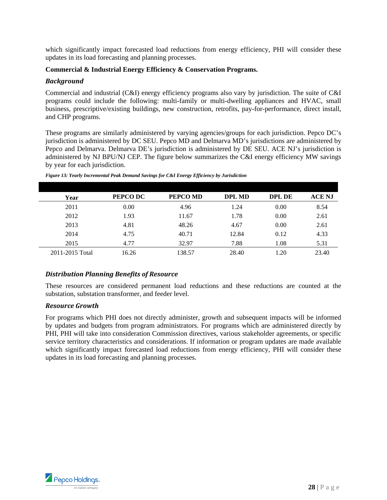which significantly impact forecasted load reductions from energy efficiency, PHI will consider these updates in its load forecasting and planning processes.

#### **Commercial & Industrial Energy Efficiency & Conservation Programs.**

#### *Background*

Commercial and industrial (C&I) energy efficiency programs also vary by jurisdiction. The suite of C&I programs could include the following: multi-family or multi-dwelling appliances and HVAC, small business, prescriptive/existing buildings, new construction, retrofits, pay-for-performance, direct install, and CHP programs.

These programs are similarly administered by varying agencies/groups for each jurisdiction. Pepco DC's jurisdiction is administered by DC SEU. Pepco MD and Delmarva MD's jurisdictions are administered by Pepco and Delmarva. Delmarva DE's jurisdiction is administered by DE SEU. ACE NJ's jurisdiction is administered by NJ BPU/NJ CEP. The figure below summarizes the C&I energy efficiency MW savings by year for each jurisdiction.

| Year            | PEPCO DC | PEPCO MD | <b>DPL MD</b> | DPL DE | <b>ACE NJ</b> |
|-----------------|----------|----------|---------------|--------|---------------|
| 2011            | 0.00     | 4.96     | 1.24          | 0.00   | 8.54          |
| 2012            | 1.93     | 11.67    | 1.78          | 0.00   | 2.61          |
| 2013            | 4.81     | 48.26    | 4.67          | 0.00   | 2.61          |
| 2014            | 4.75     | 40.71    | 12.84         | 0.12   | 4.33          |
| 2015            | 4.77     | 32.97    | 7.88          | 1.08   | 5.31          |
| 2011-2015 Total | 16.26    | 138.57   | 28.40         | 1.20   | 23.40         |

*Figure 13: Yearly Incremental Peak Demand Savings for C&I Energy Efficiency by Jurisdiction* 

#### *Distribution Planning Benefits of Resource*

These resources are considered permanent load reductions and these reductions are counted at the substation, substation transformer, and feeder level.

#### *Resource Growth*

For programs which PHI does not directly administer, growth and subsequent impacts will be informed by updates and budgets from program administrators. For programs which are administered directly by PHI, PHI will take into consideration Commission directives, various stakeholder agreements, or specific service territory characteristics and considerations. If information or program updates are made available which significantly impact forecasted load reductions from energy efficiency, PHI will consider these updates in its load forecasting and planning processes.

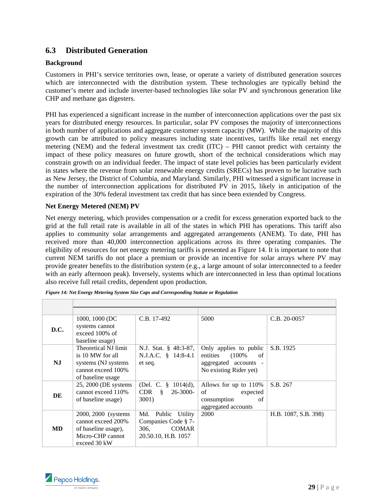#### **6.3 Distributed Generation**

#### **Background**

Customers in PHI's service territories own, lease, or operate a variety of distributed generation sources which are interconnected with the distribution system. These technologies are typically behind the customer's meter and include inverter-based technologies like solar PV and synchronous generation like CHP and methane gas digesters.

PHI has experienced a significant increase in the number of interconnection applications over the past six years for distributed energy resources. In particular, solar PV composes the majority of interconnections in both number of applications and aggregate customer system capacity (MW). While the majority of this growth can be attributed to policy measures including state incentives, tariffs like retail net energy metering (NEM) and the federal investment tax credit (ITC) – PHI cannot predict with certainty the impact of these policy measures on future growth, short of the technical considerations which may constrain growth on an individual feeder. The impact of state level policies has been particularly evident in states where the revenue from solar renewable energy credits (SRECs) has proven to be lucrative such as New Jersey, the District of Columbia, and Maryland. Similarly, PHI witnessed a significant increase in the number of interconnection applications for distributed PV in 2015, likely in anticipation of the expiration of the 30% federal investment tax credit that has since been extended by Congress.

#### **Net Energy Metered (NEM) PV**

Net energy metering, which provides compensation or a credit for excess generation exported back to the grid at the full retail rate is available in all of the states in which PHI has operations. This tariff also applies to community solar arrangements and aggregated arrangements (ANEM). To date, PHI has received more than 40,000 interconnection applications across its three operating companies. The eligibility of resources for net energy metering tariffs is presented as Figure 14. It is important to note that current NEM tariffs do not place a premium or provide an incentive for solar arrays where PV may provide greater benefits to the distribution system (e.g., a large amount of solar interconnected to a feeder with an early afternoon peak). Inversely, systems which are interconnected in less than optimal locations also receive full retail credits, dependent upon production.

| <b>D.C.</b> | 1000, 1000 (DC)<br>systems cannot<br>exceed 100% of<br>baseline usage)                                     | C.B. 17-492                                                                    | 5000                                                                                               | $C.B. 20-0057$       |
|-------------|------------------------------------------------------------------------------------------------------------|--------------------------------------------------------------------------------|----------------------------------------------------------------------------------------------------|----------------------|
| NJ          | Theoretical NJ limit<br>is 10 MW for all<br>systems (NJ systems<br>cannot exceed 100%<br>of baseline usage | N.J. Stat. § 48:3-87,<br>N.J.A.C. § 14:8-4.1<br>et seq.                        | Only applies to public<br>entities (100%)<br>of<br>aggregated accounts -<br>No existing Rider yet) | S.B. 1925            |
| DE          | 25, 2000 (DE systems)<br>cannot exceed 110%<br>of baseline usage)                                          | (Del. C. $\frac{8}{9}$ 1014(d),<br>$CDR \S 26-3000-$<br>3001)                  | Allows for up to 110%<br>of<br>expected<br>consumption<br>of<br>aggregated accounts                | S.B. 267             |
| <b>MD</b>   | 2000, 2000 (systems)<br>cannot exceed 200%<br>of baseline usage),<br>Micro-CHP cannot<br>exceed 30 kW      | Md. Public Utility<br>Companies Code § 7-<br>306, COMAR<br>20.50.10, H.B. 1057 | 2000                                                                                               | H.B. 1087, S.B. 398) |

*Figure 14: Net Energy Metering System Size Caps and Corresponding Statute or Regulation* 

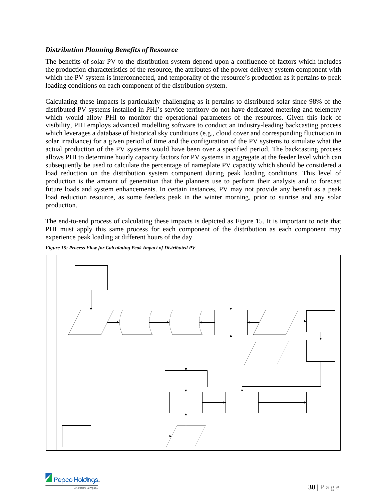#### *Distribution Planning Benefits of Resource*

The benefits of solar PV to the distribution system depend upon a confluence of factors which includes the production characteristics of the resource, the attributes of the power delivery system component with which the PV system is interconnected, and temporality of the resource's production as it pertains to peak loading conditions on each component of the distribution system.

Calculating these impacts is particularly challenging as it pertains to distributed solar since 98% of the distributed PV systems installed in PHI's service territory do not have dedicated metering and telemetry which would allow PHI to monitor the operational parameters of the resources. Given this lack of visibility, PHI employs advanced modelling software to conduct an industry-leading backcasting process which leverages a database of historical sky conditions (e.g., cloud cover and corresponding fluctuation in solar irradiance) for a given period of time and the configuration of the PV systems to simulate what the actual production of the PV systems would have been over a specified period. The backcasting process allows PHI to determine hourly capacity factors for PV systems in aggregate at the feeder level which can subsequently be used to calculate the percentage of nameplate PV capacity which should be considered a load reduction on the distribution system component during peak loading conditions. This level of production is the amount of generation that the planners use to perform their analysis and to forecast future loads and system enhancements. In certain instances, PV may not provide any benefit as a peak load reduction resource, as some feeders peak in the winter morning, prior to sunrise and any solar production.

The end-to-end process of calculating these impacts is depicted as Figure 15. It is important to note that PHI must apply this same process for each component of the distribution as each component may experience peak loading at different hours of the day.



*Figure 15: Process Flow for Calculating Peak Impact of Distributed PV* 

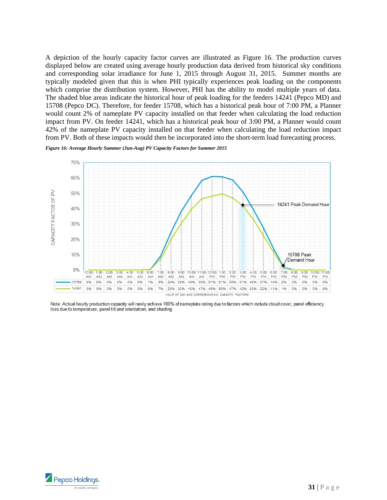A depiction of the hourly capacity factor curves are illustrated as Figure 16. The production curves displayed below are created using average hourly production data derived from historical sky conditions and corresponding solar irradiance for June 1, 2015 through August 31, 2015. Summer months are typically modeled given that this is when PHI typically experiences peak loading on the components which comprise the distribution system. However, PHI has the ability to model multiple years of data. The shaded blue areas indicate the historical hour of peak loading for the feeders 14241 (Pepco MD) and 15708 (Pepco DC). Therefore, for feeder 15708, which has a historical peak hour of 7:00 PM, a Planner would count 2% of nameplate PV capacity installed on that feeder when calculating the load reduction impact from PV. On feeder 14241, which has a historical peak hour of 3:00 PM, a Planner would count 42% of the nameplate PV capacity installed on that feeder when calculating the load reduction impact from PV. Both of these impacts would then be incorporated into the short-term load forecasting process.



*Figure 16: Average Hourly Summer (Jun-Aug) PV Capacity Factors for Summer 2015* 

Note: Actual hourly production capacity will rarely achieve 100% of nameplate rating due to factors which include cloud cover, panel efficiency loss due to temperature, panel tilt and orientation, and shading

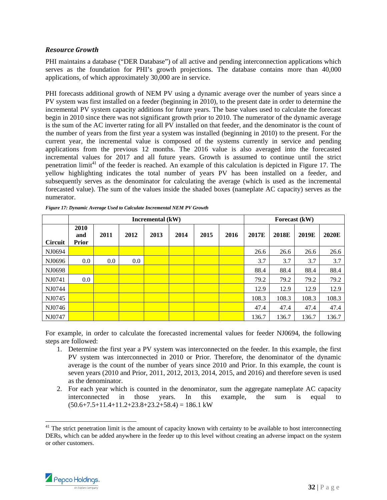#### *Resource Growth*

PHI maintains a database ("DER Database") of all active and pending interconnection applications which serves as the foundation for PHI's growth projections. The database contains more than 40,000 applications, of which approximately 30,000 are in service.

PHI forecasts additional growth of NEM PV using a dynamic average over the number of years since a PV system was first installed on a feeder (beginning in 2010), to the present date in order to determine the incremental PV system capacity additions for future years. The base values used to calculate the forecast begin in 2010 since there was not significant growth prior to 2010. The numerator of the dynamic average is the sum of the AC inverter rating for all PV installed on that feeder, and the denominator is the count of the number of years from the first year a system was installed (beginning in 2010) to the present. For the current year, the incremental value is composed of the systems currently in service and pending applications from the previous 12 months. The 2016 value is also averaged into the forecasted incremental values for 2017 and all future years. Growth is assumed to continue until the strict penetration limit<sup>41</sup> of the feeder is reached. An example of this calculation is depicted in Figure 17. The yellow highlighting indicates the total number of years PV has been installed on a feeder, and subsequently serves as the denominator for calculating the average (which is used as the incremental forecasted value). The sum of the values inside the shaded boxes (nameplate AC capacity) serves as the numerator.

|                |                             | Incremental (kW) |         |      |      |      |      | Forecast (kW) |              |       |       |
|----------------|-----------------------------|------------------|---------|------|------|------|------|---------------|--------------|-------|-------|
| <b>Circuit</b> | 2010<br>and<br><b>Prior</b> | 2011             | 2012    | 2013 | 2014 | 2015 | 2016 | 2017E         | <b>2018E</b> | 2019E | 2020E |
| NJ0694         |                             |                  |         |      |      |      |      | 26.6          | 26.6         | 26.6  | 26.6  |
| NJ0696         | 0.0                         | 0.0              | $0.0\,$ |      |      |      |      | 3.7           | 3.7          | 3.7   | 3.7   |
| NJ0698         |                             |                  |         |      |      |      |      | 88.4          | 88.4         | 88.4  | 88.4  |
| NJ0741         | 0.0                         |                  |         |      |      |      |      | 79.2          | 79.2         | 79.2  | 79.2  |
| NJ0744         |                             |                  |         |      |      |      |      | 12.9          | 12.9         | 12.9  | 12.9  |
| NJ0745         |                             |                  |         |      |      |      |      | 108.3         | 108.3        | 108.3 | 108.3 |
| NJ0746         |                             |                  |         |      |      |      |      | 47.4          | 47.4         | 47.4  | 47.4  |
| NJ0747         |                             |                  |         |      |      |      |      | 136.7         | 136.7        | 136.7 | 136.7 |

*Figure 17: Dynamic Average Used to Calculate Incremental NEM PV Growth* 

For example, in order to calculate the forecasted incremental values for feeder NJ0694, the following steps are followed:

- 1. Determine the first year a PV system was interconnected on the feeder. In this example, the first PV system was interconnected in 2010 or Prior. Therefore, the denominator of the dynamic average is the count of the number of years since 2010 and Prior. In this example, the count is seven years (2010 and Prior, 2011, 2012, 2013, 2014, 2015, and 2016) and therefore seven is used as the denominator.
- 2. For each year which is counted in the denominator, sum the aggregate nameplate AC capacity interconnected in those years. In this example, the sum is equal to  $(50.6+7.5+11.4+11.2+23.8+23.2+58.4) = 186.1 \text{ kW}$

 $41$  The strict penetration limit is the amount of capacity known with certainty to be available to host interconnecting DERs, which can be added anywhere in the feeder up to this level without creating an adverse impact on the system or other customers.



-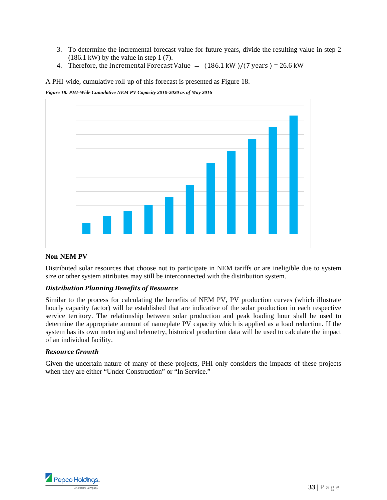- 3. To determine the incremental forecast value for future years, divide the resulting value in step 2  $(186.1 \text{ kW})$  by the value in step 1 (7).
- 4. Therefore, the Incremental Forecast Value =  $(186.1 \text{ kW})/(7 \text{ years}) = 26.6 \text{ kW}$

A PHI-wide, cumulative roll-up of this forecast is presented as Figure 18.

#### *Figure 18: PHI-Wide Cumulative NEM PV Capacity 2010-2020 as of May 2016*



#### **Non-NEM PV**

Distributed solar resources that choose not to participate in NEM tariffs or are ineligible due to system size or other system attributes may still be interconnected with the distribution system.

#### *Distribution Planning Benefits of Resource*

Similar to the process for calculating the benefits of NEM PV, PV production curves (which illustrate hourly capacity factor) will be established that are indicative of the solar production in each respective service territory. The relationship between solar production and peak loading hour shall be used to determine the appropriate amount of nameplate PV capacity which is applied as a load reduction. If the system has its own metering and telemetry, historical production data will be used to calculate the impact of an individual facility.

#### *Resource Growth*

Given the uncertain nature of many of these projects, PHI only considers the impacts of these projects when they are either "Under Construction" or "In Service."

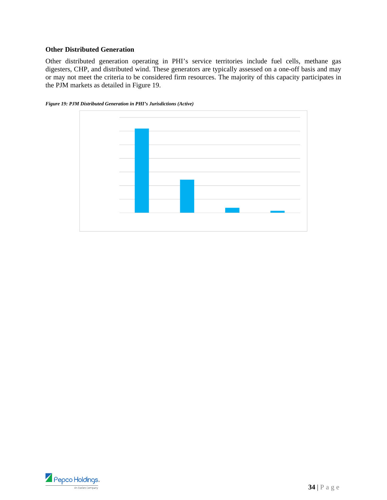#### **Other Distributed Generation**

Other distributed generation operating in PHI's service territories include fuel cells, methane gas digesters, CHP, and distributed wind. These generators are typically assessed on a one-off basis and may or may not meet the criteria to be considered firm resources. The majority of this capacity participates in the PJM markets as detailed in Figure 19.



*Figure 19: PJM Distributed Generation in PHI's Jurisdictions (Active)* 

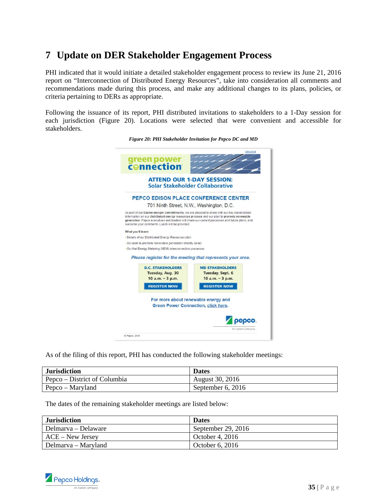## **7 Update on DER Stakeholder Engagement Process**

PHI indicated that it would initiate a detailed stakeholder engagement process to review its June 21, 2016 report on "Interconnection of Distributed Energy Resources", take into consideration all comments and recommendations made during this process, and make any additional changes to its plans, policies, or criteria pertaining to DERs as appropriate.

Following the issuance of its report, PHI distributed invitations to stakeholders to a 1-Day session for each jurisdiction (Figure 20). Locations were selected that were convenient and accessible for stakeholders.

|                    |                                                           | <b>ATTEND OUR 1-DAY SESSION:</b>                                                                                                                                                                                                                                                            |
|--------------------|-----------------------------------------------------------|---------------------------------------------------------------------------------------------------------------------------------------------------------------------------------------------------------------------------------------------------------------------------------------------|
|                    |                                                           | Solar Stakeholder Collaborative                                                                                                                                                                                                                                                             |
|                    |                                                           |                                                                                                                                                                                                                                                                                             |
|                    |                                                           | PEPCO EDISON PLACE CONFERENCE CENTER                                                                                                                                                                                                                                                        |
|                    |                                                           | 701 Ninth Street, N.W., Washington, D.C.                                                                                                                                                                                                                                                    |
|                    | welcome your comments. Lunch will be provided.            | As part of our Exelon merger commitments, we are pleased to share with our key stakeholders<br>information on our distributed energy resources process and our plan to promote renewable<br>generation. Pepco executives and leaders will share our current processes and future plans, and |
| What you'll learn: |                                                           |                                                                                                                                                                                                                                                                                             |
|                    | - Details of our Distributed Energy Resources plan        |                                                                                                                                                                                                                                                                                             |
|                    | - Our plan to promote renewable generation (mostly solar) |                                                                                                                                                                                                                                                                                             |
|                    | - Our Net Energy Metering (NEM) interconnection processes |                                                                                                                                                                                                                                                                                             |
|                    |                                                           | Please register for the meeting that represents your area.                                                                                                                                                                                                                                  |
|                    |                                                           |                                                                                                                                                                                                                                                                                             |
|                    | <b>D.C. STAKEHOLDERS</b><br>Tuesday, Aug. 30              | <b>MD STAKEHOLDERS</b><br>Tuesday, Sept. 6                                                                                                                                                                                                                                                  |
|                    | $10 a.m. - 3 p.m.$                                        | $10$ a.m. $-3$ p.m.                                                                                                                                                                                                                                                                         |
|                    |                                                           |                                                                                                                                                                                                                                                                                             |
|                    | <b>REGISTER NOW</b>                                       | <b>REGISTER NOW</b>                                                                                                                                                                                                                                                                         |
|                    |                                                           |                                                                                                                                                                                                                                                                                             |
|                    |                                                           | For more about renewable energy and                                                                                                                                                                                                                                                         |
|                    |                                                           | <b>Green Power Connection, click here.</b>                                                                                                                                                                                                                                                  |

*Figure 20: PHI Stakeholder Invitation for Pepco DC and MD* 

As of the filing of this report, PHI has conducted the following stakeholder meetings:

| <b>Jurisdiction</b>          | <b>Dates</b>      |
|------------------------------|-------------------|
| Pepco – District of Columbia | August 30, 2016   |
| Pepco – Maryland             | September 6, 2016 |

The dates of the remaining stakeholder meetings are listed below:

| <b>Jurisdiction</b> | <b>Dates</b>       |
|---------------------|--------------------|
| Delmarya – Delaware | September 29, 2016 |
| $ACE - New Jersey$  | October 4, 2016    |
| Delmarva – Maryland | October 6, 2016    |

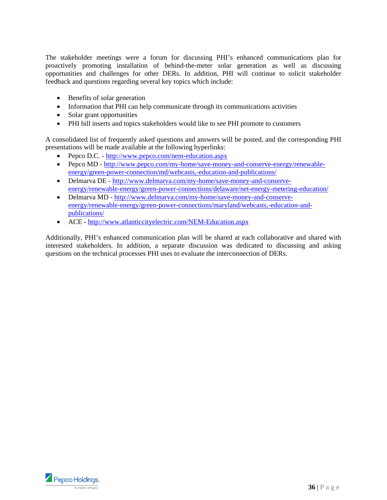The stakeholder meetings were a forum for discussing PHI's enhanced communications plan for proactively promoting installation of behind-the-meter solar generation as well as discussing opportunities and challenges for other DERs. In addition, PHI will continue to solicit stakeholder feedback and questions regarding several key topics which include:

- Benefits of solar generation
- Information that PHI can help communicate through its communications activities
- Solar grant opportunities
- PHI bill inserts and topics stakeholders would like to see PHI promote to customers

A consolidated list of frequently asked questions and answers will be posted, and the corresponding PHI presentations will be made available at the following hyperlinks:

- Pepco D.C. http://www.pepco.com/nem-education.aspx
- Pepco MD http://www.pepco.com/my-home/save-money-and-conserve-energy/renewableenergy/green-power-connection/md/webcasts,-education-and-publications/
- Delmarva DE http://www.delmarva.com/my-home/save-money-and-conserveenergy/renewable-energy/green-power-connections/delaware/net-energy-metering-education/
- Delmarva MD http://www.delmarva.com/my-home/save-money-and-conserveenergy/renewable-energy/green-power-connections/maryland/webcasts,-education-andpublications/
- ACE http://www.atlanticcityelectric.com/NEM-Education.aspx

Additionally, PHI's enhanced communication plan will be shared at each collaborative and shared with interested stakeholders. In addition, a separate discussion was dedicated to discussing and asking questions on the technical processes PHI uses to evaluate the interconnection of DERs.

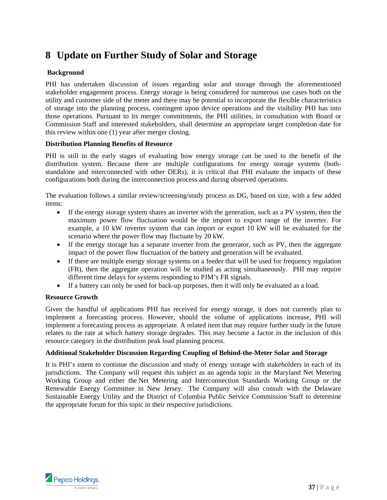## **8 Update on Further Study of Solar and Storage**

#### **Background**

PHI has undertaken discussion of issues regarding solar and storage through the aforementioned stakeholder engagement process. Energy storage is being considered for numerous use cases both on the utility and customer side of the meter and there may be potential to incorporate the flexible characteristics of storage into the planning process, contingent upon device operations and the visibility PHI has into those operations. Pursuant to its merger commitments, the PHI utilities, in consultation with Board or Commission Staff and interested stakeholders, shall determine an appropriate target completion date for this review within one (1) year after merger closing.

#### **Distribution Planning Benefits of Resource**

PHI is still in the early stages of evaluating how energy storage can be used to the benefit of the distribution system. Because there are multiple configurations for energy storage systems (bothstandalone and interconnected with other DERs), it is critical that PHI evaluate the impacts of these configurations both during the interconnection process and during observed operations.

The evaluation follows a similar review/screening/study process as DG, based on size, with a few added items:

- If the energy storage system shares an inverter with the generation, such as a PV system, then the maximum power flow fluctuation would be the import to export range of the inverter. For example, a 10 kW inverter system that can import or export 10 kW will be evaluated for the scenario where the power flow may fluctuate by 20 kW.
- If the energy storage has a separate inverter from the generator, such as PV, then the aggregate impact of the power flow fluctuation of the battery and generation will be evaluated.
- If there are multiple energy storage systems on a feeder that will be used for frequency regulation (FR), then the aggregate operation will be studied as acting simultaneously. PHI may require different time delays for systems responding to PJM's FR signals.
- If a battery can only be used for back-up purposes, then it will only be evaluated as a load.

#### **Resource Growth**

Given the handful of applications PHI has received for energy storage, it does not currently plan to implement a forecasting process. However, should the volume of applications increase, PHI will implement a forecasting process as appropriate. A related item that may require further study in the future relates to the rate at which battery storage degrades. This may become a factor in the inclusion of this resource category in the distribution peak load planning process.

#### **Additional Stakeholder Discussion Regarding Coupling of Behind-the-Meter Solar and Storage**

It is PHI's intent to continue the discussion and study of energy storage with stakeholders in each of its jurisdictions. The Company will request this subject as an agenda topic in the Maryland Net Metering Working Group and either the Net Metering and Interconnection Standards Working Group or the Renewable Energy Committee in New Jersey. The Company will also consult with the Delaware Sustainable Energy Utility and the District of Columbia Public Service Commission Staff to determine the appropriate forum for this topic in their respective jurisdictions.